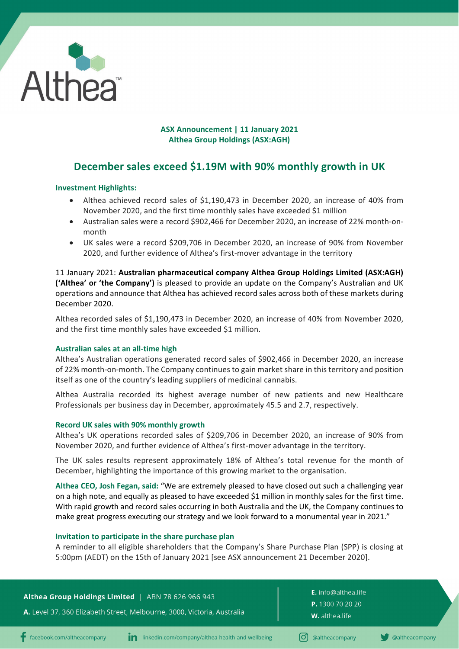

# **ASX Announcement | 11 January 2021 Althea Group Holdings (ASX:AGH)**

# **December sales exceed \$1.19M with 90% monthly growth in UK**

# **Investment Highlights:**

- Althea achieved record sales of \$1,190,473 in December 2020, an increase of 40% from November 2020, and the first time monthly sales have exceeded \$1 million
- Australian sales were a record \$902,466 for December 2020, an increase of 22% month-onmonth
- UK sales were a record \$209,706 in December 2020, an increase of 90% from November 2020, and further evidence of Althea's first-mover advantage in the territory

11 January 2021: **Australian pharmaceutical company Althea Group Holdings Limited (ASX:AGH) ('Althea' or 'the Company')** is pleased to provide an update on the Company's Australian and UK operations and announce that Althea has achieved record sales across both of these markets during December 2020.

Althea recorded sales of \$1,190,473 in December 2020, an increase of 40% from November 2020, and the first time monthly sales have exceeded \$1 million.

## **Australian sales at an all-time high**

Althea's Australian operations generated record sales of \$902,466 in December 2020, an increase of 22% month-on-month. The Company continues to gain market share in this territory and position itself as one of the country's leading suppliers of medicinal cannabis.

Althea Australia recorded its highest average number of new patients and new Healthcare Professionals per business day in December, approximately 45.5 and 2.7, respectively.

## **Record UK sales with 90% monthly growth**

Althea's UK operations recorded sales of \$209,706 in December 2020, an increase of 90% from November 2020, and further evidence of Althea's first-mover advantage in the territory.

The UK sales results represent approximately 18% of Althea's total revenue for the month of December, highlighting the importance of this growing market to the organisation.

**Althea CEO, Josh Fegan, said:** "We are extremely pleased to have closed out such a challenging year on a high note, and equally as pleased to have exceeded \$1 million in monthly sales for the first time. With rapid growth and record sales occurring in both Australia and the UK, the Company continues to make great progress executing our strategy and we look forward to a monumental year in 2021."

## **Invitation to participate in the share purchase plan**

A reminder to all eligible shareholders that the Company's Share Purchase Plan (SPP) is closing at 5:00pm (AEDT) on the 15th of January 2021 [see ASX announcement 21 December 2020].

Althea Group Holdings Limited | ABN 78 626 966 943

A. Level 37, 360 Elizabeth Street, Melbourne, 3000, Victoria, Australia

E. info@althea.life P. 1300 70 20 20 W. althea.life